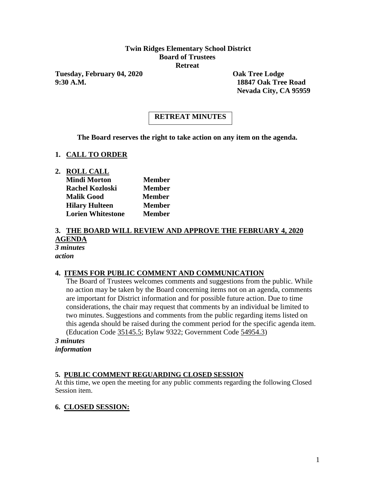## **Twin Ridges Elementary School District Board of Trustees Retreat**

**Tuesday, February 04, 2020 Oak Tree Lodge 9:30 A.M. 18847 Oak Tree Road**

**Nevada City, CA 95959**

# **RETREAT MINUTES**

**The Board reserves the right to take action on any item on the agenda.**

### **1. CALL TO ORDER**

**2. ROLL CALL**

| <b>Mindi Morton</b>      | <b>Member</b> |
|--------------------------|---------------|
| <b>Rachel Kozloski</b>   | <b>Member</b> |
| <b>Malik Good</b>        | <b>Member</b> |
| <b>Hilary Hulteen</b>    | <b>Member</b> |
| <b>Lorien Whitestone</b> | <b>Member</b> |

#### **3. THE BOARD WILL REVIEW AND APPROVE THE FEBRUARY 4, 2020 AGENDA** *3 minutes action*

### **4. ITEMS FOR PUBLIC COMMENT AND COMMUNICATION**

The Board of Trustees welcomes comments and suggestions from the public. While no action may be taken by the Board concerning items not on an agenda, comments are important for District information and for possible future action. Due to time considerations, the chair may request that comments by an individual be limited to two minutes. Suggestions and comments from the public regarding items listed on this agenda should be raised during the comment period for the specific agenda item. (Education Code 35145.5; Bylaw 9322; Government Code 54954.3)

*3 minutes information*

## **5. PUBLIC COMMENT REGUARDING CLOSED SESSION**

At this time, we open the meeting for any public comments regarding the following Closed Session item.

### **6. CLOSED SESSION:**